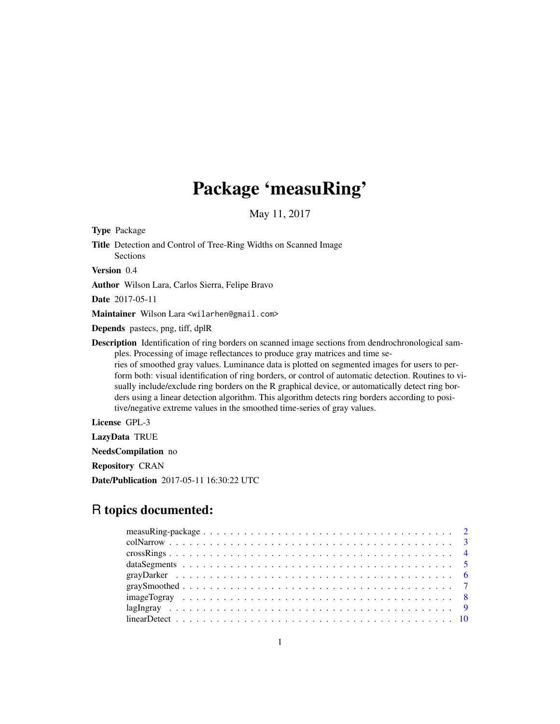## Package 'measuRing'

May 11, 2017

<span id="page-0-0"></span>Type Package

Title Detection and Control of Tree-Ring Widths on Scanned Image Sections

Version 0.4

Author Wilson Lara, Carlos Sierra, Felipe Bravo

Date 2017-05-11

Maintainer Wilson Lara <wilarhen@gmail.com>

Depends pastecs, png, tiff, dplR

Description Identification of ring borders on scanned image sections from dendrochronological samples. Processing of image reflectances to produce gray matrices and time series of smoothed gray values. Luminance data is plotted on segmented images for users to perform both: visual identification of ring borders, or control of automatic detection. Routines to visually include/exclude ring borders on the R graphical device, or automatically detect ring borders using a linear detection algorithm. This algorithm detects ring borders according to positive/negative extreme values in the smoothed time-series of gray values.

License GPL-3

LazyData TRUE

NeedsCompilation no

Repository CRAN

Date/Publication 2017-05-11 16:30:22 UTC

## R topics documented: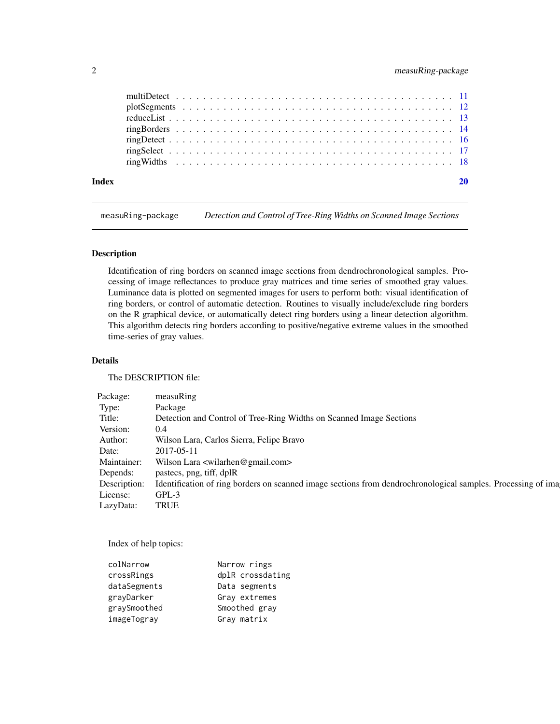## <span id="page-1-0"></span>2 measuRing-package

measuRing-package *Detection and Control of Tree-Ring Widths on Scanned Image Sections*

## Description

Identification of ring borders on scanned image sections from dendrochronological samples. Processing of image reflectances to produce gray matrices and time series of smoothed gray values. Luminance data is plotted on segmented images for users to perform both: visual identification of ring borders, or control of automatic detection. Routines to visually include/exclude ring borders on the R graphical device, or automatically detect ring borders using a linear detection algorithm. This algorithm detects ring borders according to positive/negative extreme values in the smoothed time-series of gray values.

## Details

The DESCRIPTION file:

| Package: measuRing |                                                                                                                           |
|--------------------|---------------------------------------------------------------------------------------------------------------------------|
| Type:              | Package                                                                                                                   |
| Title:             | Detection and Control of Tree-Ring Widths on Scanned Image Sections                                                       |
| Version: 0.4       |                                                                                                                           |
|                    | Author: Wilson Lara, Carlos Sierra, Felipe Bravo                                                                          |
| Date: 2017-05-11   |                                                                                                                           |
|                    | Maintainer: Wilson Lara <wilarhen@gmail.com></wilarhen@gmail.com>                                                         |
|                    | Depends: pastecs, png, tiff, dplR                                                                                         |
|                    | Description: Identification of ring borders on scanned image sections from dendrochronological samples. Processing of ima |
| License: GPL-3     |                                                                                                                           |
| LazyData: TRUE     |                                                                                                                           |

Index of help topics:

| colNarrow    | Narrow rings     |
|--------------|------------------|
| crossRings   | dplR crossdating |
| dataSegments | Data segments    |
| grayDarker   | Gray extremes    |
| graySmoothed | Smoothed gray    |
| imageTogray  | Gray matrix      |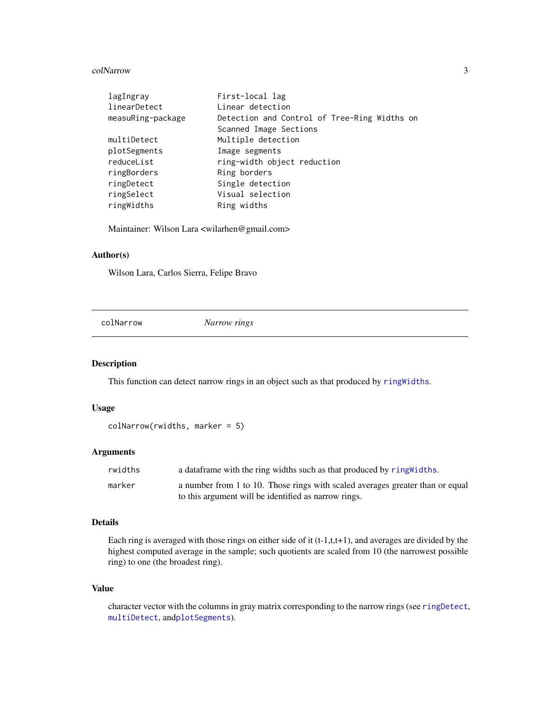#### <span id="page-2-0"></span>colNarrow 3

| lagIngray         | First-local lag                              |
|-------------------|----------------------------------------------|
| linearDetect      | Linear detection                             |
| measuRing-package | Detection and Control of Tree-Ring Widths on |
|                   | Scanned Image Sections                       |
| multiDetect       | Multiple detection                           |
| plotSegments      | Image segments                               |
| reduceList        | ring-width object reduction                  |
| ringBorders       | Ring borders                                 |
| ringDetect        | Single detection                             |
| ringSelect        | Visual selection                             |
| ringWidths        | Ring widths                                  |

Maintainer: Wilson Lara <wilarhen@gmail.com>

## Author(s)

Wilson Lara, Carlos Sierra, Felipe Bravo

<span id="page-2-1"></span>colNarrow *Narrow rings*

## Description

This function can detect narrow rings in an object such as that produced by [ringWidths](#page-17-1).

## Usage

```
colNarrow(rwidths, marker = 5)
```
## Arguments

| rwidths | a data frame with the ring widths such as that produced by ring Widths.       |
|---------|-------------------------------------------------------------------------------|
| marker  | a number from 1 to 10. Those rings with scaled averages greater than or equal |
|         | to this argument will be identified as narrow rings.                          |

## Details

Each ring is averaged with those rings on either side of it  $(t-1,t,t+1)$ , and averages are divided by the highest computed average in the sample; such quotients are scaled from 10 (the narrowest possible ring) to one (the broadest ring).

## Value

character vector with the columns in gray matrix corresponding to the narrow rings (see [ringDetect](#page-15-1), [multiDetect](#page-10-1), and[plotSegments](#page-11-1)).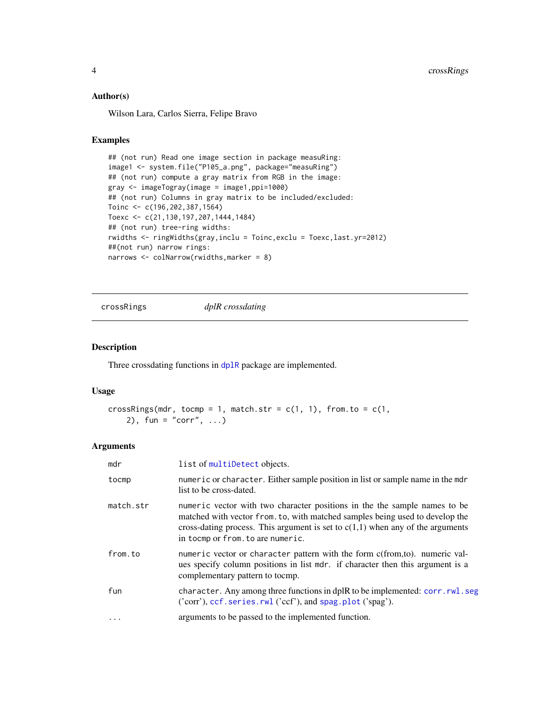#### <span id="page-3-0"></span>Author(s)

Wilson Lara, Carlos Sierra, Felipe Bravo

## Examples

```
## (not run) Read one image section in package measuRing:
image1 <- system.file("P105_a.png", package="measuRing")
## (not run) compute a gray matrix from RGB in the image:
gray <- imageTogray(image = image1,ppi=1000)
## (not run) Columns in gray matrix to be included/excluded:
Toinc <- c(196,202,387,1564)
Toexc <- c(21,130,197,207,1444,1484)
## (not run) tree-ring widths:
rwidths <- ringWidths(gray,inclu = Toinc,exclu = Toexc,last.yr=2012)
##(not run) narrow rings:
narrows <- colNarrow(rwidths,marker = 8)
```
crossRings *dplR crossdating*

## Description

Three crossdating functions in [dplR](#page-0-0) package are implemented.

## Usage

```
crossRings(mdr, tocmp = 1, match.str = c(1, 1), from.to = c(1, 1)2), fun = "corr", ...)
```
#### Arguments

| mdr       | list of multiDetect objects.                                                                                                                                                                                                                                                        |
|-----------|-------------------------------------------------------------------------------------------------------------------------------------------------------------------------------------------------------------------------------------------------------------------------------------|
| tocmp     | numeric or character. Either sample position in list or sample name in the mdr<br>list to be cross-dated.                                                                                                                                                                           |
| match.str | numeric vector with two character positions in the the sample names to be<br>matched with vector from. to, with matched samples being used to develop the<br>cross-dating process. This argument is set to $c(1,1)$ when any of the arguments<br>in to cmp or from, to are numeric. |
| from.to   | numeric vector or character pattern with the form c(from,to). numeric val-<br>ues specify column positions in list mdr. if character then this argument is a<br>complementary pattern to tocmp.                                                                                     |
| fun       | character. Any among three functions in dplR to be implemented: corr.rwl.seg<br>('corr'), ccf. series. rwl ('ccf'), and spag. plot ('spag').                                                                                                                                        |
| $\cdots$  | arguments to be passed to the implemented function.                                                                                                                                                                                                                                 |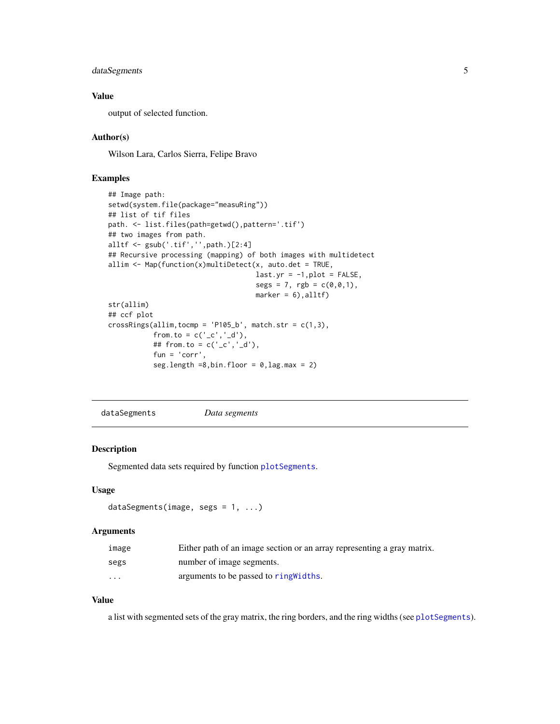## <span id="page-4-0"></span>dataSegments 5

## Value

output of selected function.

## Author(s)

Wilson Lara, Carlos Sierra, Felipe Bravo

## Examples

```
## Image path:
setwd(system.file(package="measuRing"))
## list of tif files
path. <- list.files(path=getwd(),pattern='.tif')
## two images from path.
alltf <- gsub('.tif','',path.)[2:4]
## Recursive processing (mapping) of both images with multidetect
allim \leq Map(function(x)multiDetect(x, auto.det = TRUE,
                                    last.yr = -1, plot = FALSE,segs = 7, rgb = c(0, 0, 1),
                                    marker = 6), alltf)
str(allim)
## ccf plot
crossRings(allim, tocmp = 'P105_b', match.str = c(1,3),from.to = c('_c', '_d'),
           ## from.to = c('_c', '_d'),fun = 'corr',seg.length =8,bin.floor = 0, lag.max = 2)
```
<span id="page-4-1"></span>dataSegments *Data segments*

#### Description

Segmented data sets required by function [plotSegments](#page-11-1).

#### Usage

```
dataSegments(image, segs = 1, ...)
```
#### Arguments

| image    | Either path of an image section or an array representing a gray matrix. |
|----------|-------------------------------------------------------------------------|
| segs     | number of image segments.                                               |
| $\cdots$ | arguments to be passed to ring Widths.                                  |

## Value

a list with segmented sets of the gray matrix, the ring borders, and the ring widths (see [plotSegments](#page-11-1)).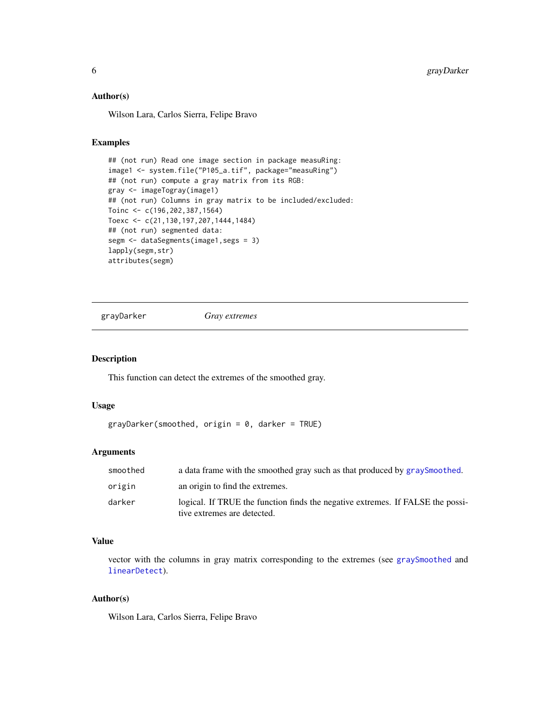## <span id="page-5-0"></span>Author(s)

Wilson Lara, Carlos Sierra, Felipe Bravo

## Examples

```
## (not run) Read one image section in package measuRing:
image1 <- system.file("P105_a.tif", package="measuRing")
## (not run) compute a gray matrix from its RGB:
gray <- imageTogray(image1)
## (not run) Columns in gray matrix to be included/excluded:
Toinc <- c(196,202,387,1564)
Toexc <- c(21,130,197,207,1444,1484)
## (not run) segmented data:
segm <- dataSegments(image1,segs = 3)
lapply(segm,str)
attributes(segm)
```
<span id="page-5-1"></span>grayDarker *Gray extremes*

#### Description

This function can detect the extremes of the smoothed gray.

#### Usage

```
grayDarker(smoothed, origin = 0, darker = TRUE)
```
## Arguments

| smoothed | a data frame with the smoothed gray such as that produced by graySmoothed.                                    |
|----------|---------------------------------------------------------------------------------------------------------------|
| origin   | an origin to find the extremes.                                                                               |
| darker   | logical. If TRUE the function finds the negative extremes. If FALSE the possi-<br>tive extremes are detected. |

## Value

vector with the columns in gray matrix corresponding to the extremes (see [graySmoothed](#page-6-1) and [linearDetect](#page-9-1)).

## Author(s)

Wilson Lara, Carlos Sierra, Felipe Bravo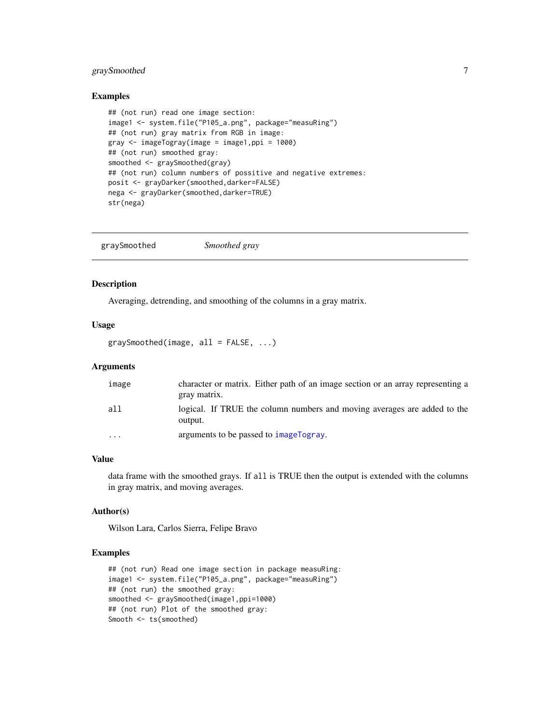## <span id="page-6-0"></span>graySmoothed 7

#### Examples

```
## (not run) read one image section:
image1 <- system.file("P105_a.png", package="measuRing")
## (not run) gray matrix from RGB in image:
gray \le imageTogray(image = image1,ppi = 1000)
## (not run) smoothed gray:
smoothed <- graySmoothed(gray)
## (not run) column numbers of possitive and negative extremes:
posit <- grayDarker(smoothed,darker=FALSE)
nega <- grayDarker(smoothed,darker=TRUE)
str(nega)
```
<span id="page-6-1"></span>graySmoothed *Smoothed gray*

#### Description

Averaging, detrending, and smoothing of the columns in a gray matrix.

#### Usage

 $graySmoothed(image, all = FALSE, ...)$ 

## Arguments

| image   | character or matrix. Either path of an image section or an array representing a<br>gray matrix. |
|---------|-------------------------------------------------------------------------------------------------|
| all     | logical. If TRUE the column numbers and moving averages are added to the<br>output.             |
| $\cdot$ | arguments to be passed to imageTogray.                                                          |

## Value

data frame with the smoothed grays. If all is TRUE then the output is extended with the columns in gray matrix, and moving averages.

#### Author(s)

Wilson Lara, Carlos Sierra, Felipe Bravo

```
## (not run) Read one image section in package measuRing:
image1 <- system.file("P105_a.png", package="measuRing")
## (not run) the smoothed gray:
smoothed <- graySmoothed(image1,ppi=1000)
## (not run) Plot of the smoothed gray:
Smooth <- ts(smoothed)
```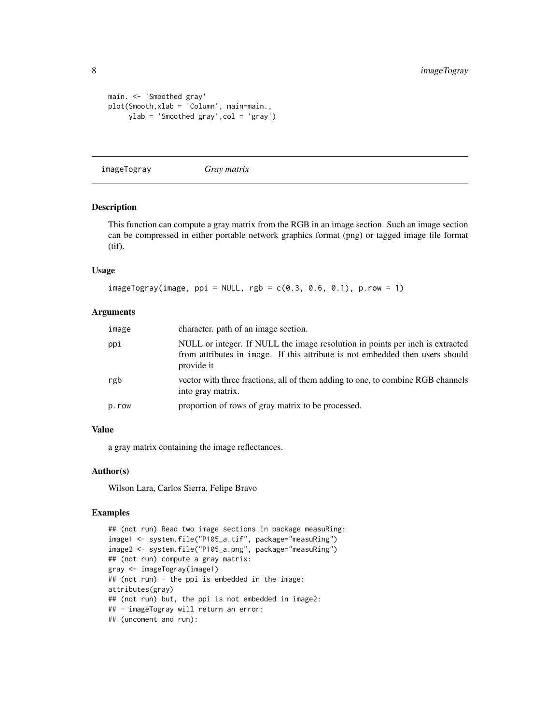```
main. <- 'Smoothed gray'
plot(Smooth,xlab = 'Column', main=main.,
     ylab = 'Smoothed gray',col = 'gray')
```
<span id="page-7-1"></span>imageTogray *Gray matrix*

#### Description

This function can compute a gray matrix from the RGB in an image section. Such an image section can be compressed in either portable network graphics format (png) or tagged image file format (tif).

## Usage

```
imageTogy(image, ppi = NULL, rgb = c(0.3, 0.6, 0.1), p(row = 1)
```
## Arguments

| image | character, path of an image section.                                                                                                                                         |
|-------|------------------------------------------------------------------------------------------------------------------------------------------------------------------------------|
| ppi   | NULL or integer. If NULL the image resolution in points per inch is extracted<br>from attributes in image. If this attribute is not embedded then users should<br>provide it |
| rgb   | vector with three fractions, all of them adding to one, to combine RGB channels<br>into gray matrix.                                                                         |
| p.row | proportion of rows of gray matrix to be processed.                                                                                                                           |

#### Value

a gray matrix containing the image reflectances.

## Author(s)

Wilson Lara, Carlos Sierra, Felipe Bravo

```
## (not run) Read two image sections in package measuRing:
image1 <- system.file("P105_a.tif", package="measuRing")
image2 <- system.file("P105_a.png", package="measuRing")
## (not run) compute a gray matrix:
gray <- imageTogray(image1)
## (not run) - the ppi is embedded in the image:
attributes(gray)
## (not run) but, the ppi is not embedded in image2:
## - imageTogray will return an error:
## (uncoment and run):
```
<span id="page-7-0"></span>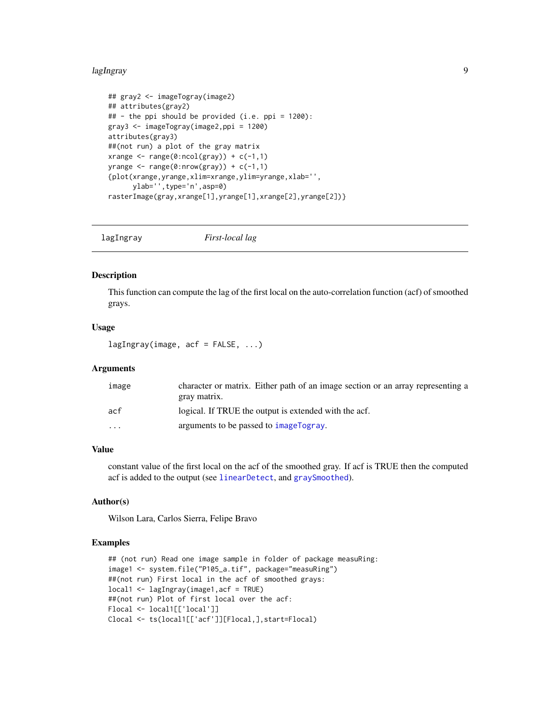#### <span id="page-8-0"></span>lagIngray 9

```
## gray2 <- imageTogray(image2)
## attributes(gray2)
## - the ppi should be provided (i.e. ppi = 1200):
gray3 <- imageTogray(image2,ppi = 1200)
attributes(gray3)
##(not run) a plot of the gray matrix
xrange \leq range(0:ncol(gray)) + c(-1,1)
yrange \leq range(0:nrow(gray)) + c(-1,1)
{plot(xrange,yrange,xlim=xrange,ylim=yrange,xlab='',
      ylab='',type='n',asp=0)
rasterImage(gray,xrange[1],yrange[1],xrange[2],yrange[2])}
```
lagIngray *First-local lag*

## Description

This function can compute the lag of the first local on the auto-correlation function (acf) of smoothed grays.

## Usage

 $lagIngray (image, acf = FALSE, ...)$ 

#### Arguments

| image                   | character or matrix. Either path of an image section or an array representing a |
|-------------------------|---------------------------------------------------------------------------------|
|                         | gray matrix.                                                                    |
| acf                     | logical. If TRUE the output is extended with the acf.                           |
| $\cdot$ $\cdot$ $\cdot$ | arguments to be passed to imageTogray.                                          |

## Value

constant value of the first local on the acf of the smoothed gray. If acf is TRUE then the computed acf is added to the output (see [linearDetect](#page-9-1), and [graySmoothed](#page-6-1)).

## Author(s)

Wilson Lara, Carlos Sierra, Felipe Bravo

```
## (not run) Read one image sample in folder of package measuRing:
image1 <- system.file("P105_a.tif", package="measuRing")
##(not run) First local in the acf of smoothed grays:
local1 <- lagIngray(image1,acf = TRUE)
##(not run) Plot of first local over the acf:
Flocal <- local1[['local']]
Clocal <- ts(local1[['acf']][Flocal,],start=Flocal)
```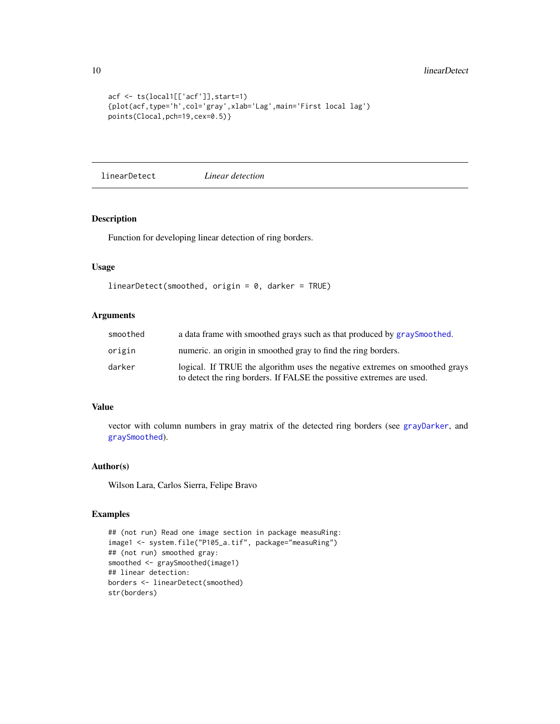```
acf <- ts(local1[['acf']],start=1)
{plot(acf,type='h',col='gray',xlab='Lag',main='First local lag')
points(Clocal,pch=19,cex=0.5)}
```
<span id="page-9-1"></span>linearDetect *Linear detection*

#### Description

Function for developing linear detection of ring borders.

## Usage

```
linearDetect(smoothed, origin = 0, darker = TRUE)
```
## Arguments

| smoothed | a data frame with smoothed grays such as that produced by graySmoothed.                                                                              |
|----------|------------------------------------------------------------------------------------------------------------------------------------------------------|
| origin   | numeric. an origin in smoothed gray to find the ring borders.                                                                                        |
| darker   | logical. If TRUE the algorithm uses the negative extremes on smoothed grays<br>to detect the ring borders. If FALSE the possitive extremes are used. |

## Value

vector with column numbers in gray matrix of the detected ring borders (see [grayDarker](#page-5-1), and [graySmoothed](#page-6-1)).

#### Author(s)

Wilson Lara, Carlos Sierra, Felipe Bravo

```
## (not run) Read one image section in package measuRing:
image1 <- system.file("P105_a.tif", package="measuRing")
## (not run) smoothed gray:
smoothed <- graySmoothed(image1)
## linear detection:
borders <- linearDetect(smoothed)
str(borders)
```
<span id="page-9-0"></span>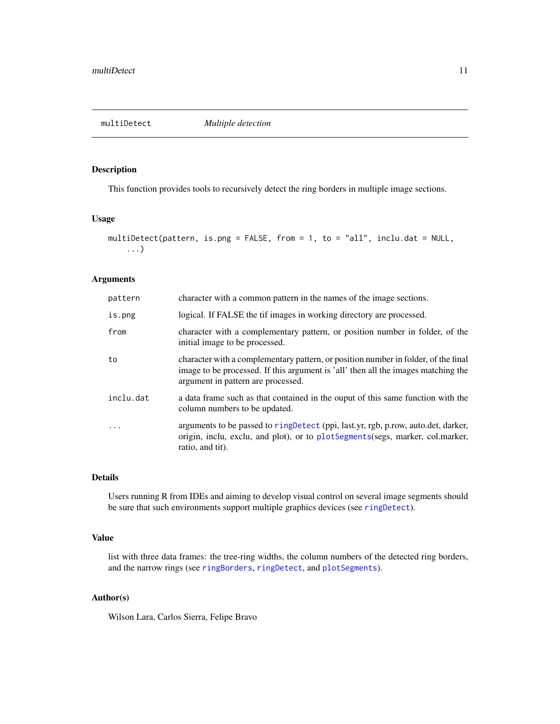<span id="page-10-1"></span><span id="page-10-0"></span>

## Description

This function provides tools to recursively detect the ring borders in multiple image sections.

## Usage

```
multiDetect(pattern, is.png = FALSE, from = 1, to = "all", inclu.dat = NULL,
    ...)
```
## Arguments

| pattern   | character with a common pattern in the names of the image sections.                                                                                                                                           |
|-----------|---------------------------------------------------------------------------------------------------------------------------------------------------------------------------------------------------------------|
| is.png    | logical. If FALSE the tif images in working directory are processed.                                                                                                                                          |
| from      | character with a complementary pattern, or position number in folder, of the<br>initial image to be processed.                                                                                                |
| to        | character with a complementary pattern, or position number in folder, of the final<br>image to be processed. If this argument is 'all' then all the images matching the<br>argument in pattern are processed. |
| inclu.dat | a data frame such as that contained in the ouput of this same function with the<br>column numbers to be updated.                                                                                              |
| .         | arguments to be passed to ringDetect (ppi, last.yr, rgb, p.row, auto.det, darker,<br>origin, inclu, exclu, and plot), or to plotSegments(segs, marker, col.marker,<br>ratio, and tit).                        |

## Details

Users running R from IDEs and aiming to develop visual control on several image segments should be sure that such environments support multiple graphics devices (see [ringDetect](#page-15-1)).

## Value

list with three data frames: the tree-ring widths, the column numbers of the detected ring borders, and the narrow rings (see [ringBorders](#page-13-1), [ringDetect](#page-15-1), and [plotSegments](#page-11-1)).

## Author(s)

Wilson Lara, Carlos Sierra, Felipe Bravo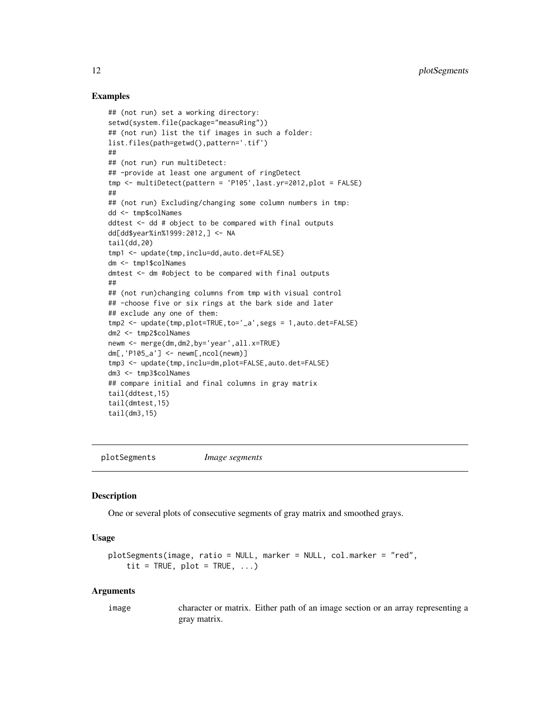## Examples

```
## (not run) set a working directory:
setwd(system.file(package="measuRing"))
## (not run) list the tif images in such a folder:
list.files(path=getwd(),pattern='.tif')
##
## (not run) run multiDetect:
## -provide at least one argument of ringDetect
tmp <- multiDetect(pattern = 'P105',last.yr=2012,plot = FALSE)
##
## (not run) Excluding/changing some column numbers in tmp:
dd <- tmp$colNames
ddtest <- dd # object to be compared with final outputs
dd[dd$year%in%1999:2012,] <- NA
tail(dd,20)
tmp1 <- update(tmp,inclu=dd,auto.det=FALSE)
dm <- tmp1$colNames
dmtest <- dm #object to be compared with final outputs
##
## (not run)changing columns from tmp with visual control
## -choose five or six rings at the bark side and later
## exclude any one of them:
tmp2 <- update(tmp,plot=TRUE,to='_a',segs = 1,auto.det=FALSE)
dm2 <- tmp2$colNames
newm <- merge(dm,dm2,by='year',all.x=TRUE)
dm[,'P105_a'] <- newm[,ncol(newm)]
tmp3 <- update(tmp,inclu=dm,plot=FALSE,auto.det=FALSE)
dm3 <- tmp3$colNames
## compare initial and final columns in gray matrix
tail(ddtest,15)
tail(dmtest,15)
tail(dm3,15)
```
<span id="page-11-1"></span>plotSegments *Image segments*

#### **Description**

One or several plots of consecutive segments of gray matrix and smoothed grays.

#### Usage

```
plotSegments(image, ratio = NULL, marker = NULL, col.marker = "red",
    tit = TRUE, plot = TRUE, \ldots)
```
#### Arguments

image character or matrix. Either path of an image section or an array representing a gray matrix.

<span id="page-11-0"></span>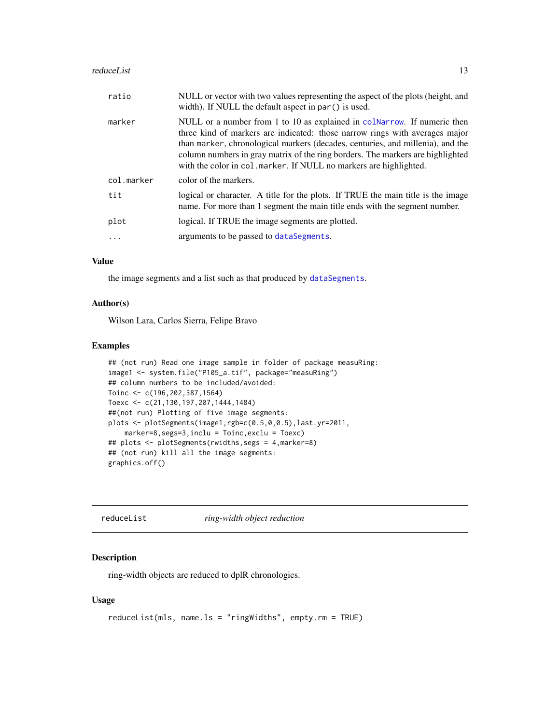#### <span id="page-12-0"></span>reduceList 13

| ratio      | NULL or vector with two values representing the aspect of the plots (height, and<br>width). If NULL the default aspect in par () is used.                                                                                                                                                                                                                                                         |
|------------|---------------------------------------------------------------------------------------------------------------------------------------------------------------------------------------------------------------------------------------------------------------------------------------------------------------------------------------------------------------------------------------------------|
| marker     | NULL or a number from 1 to 10 as explained in colNarrow. If numeric then<br>three kind of markers are indicated: those narrow rings with averages major<br>than marker, chronological markers (decades, centuries, and millenia), and the<br>column numbers in gray matrix of the ring borders. The markers are highlighted<br>with the color in col. marker. If NULL no markers are highlighted. |
| col.marker | color of the markers.                                                                                                                                                                                                                                                                                                                                                                             |
| tit        | logical or character. A title for the plots. If TRUE the main title is the image<br>name. For more than 1 segment the main title ends with the segment number.                                                                                                                                                                                                                                    |
| plot       | logical. If TRUE the image segments are plotted.                                                                                                                                                                                                                                                                                                                                                  |
|            | arguments to be passed to dataSegments.                                                                                                                                                                                                                                                                                                                                                           |
|            |                                                                                                                                                                                                                                                                                                                                                                                                   |

## Value

the image segments and a list such as that produced by [dataSegments](#page-4-1).

## Author(s)

Wilson Lara, Carlos Sierra, Felipe Bravo

## Examples

```
## (not run) Read one image sample in folder of package measuRing:
image1 <- system.file("P105_a.tif", package="measuRing")
## column numbers to be included/avoided:
Toinc <- c(196,202,387,1564)
Toexc <- c(21,130,197,207,1444,1484)
##(not run) Plotting of five image segments:
plots <- plotSegments(image1,rgb=c(0.5,0,0.5),last.yr=2011,
   marker=8,segs=3,inclu = Toinc,exclu = Toexc)
## plots <- plotSegments(rwidths,segs = 4,marker=8)
## (not run) kill all the image segments:
graphics.off()
```
reduceList *ring-width object reduction*

## Description

ring-width objects are reduced to dplR chronologies.

## Usage

```
reduceList(mls, name.ls = "ringWidths", empty.rm = TRUE)
```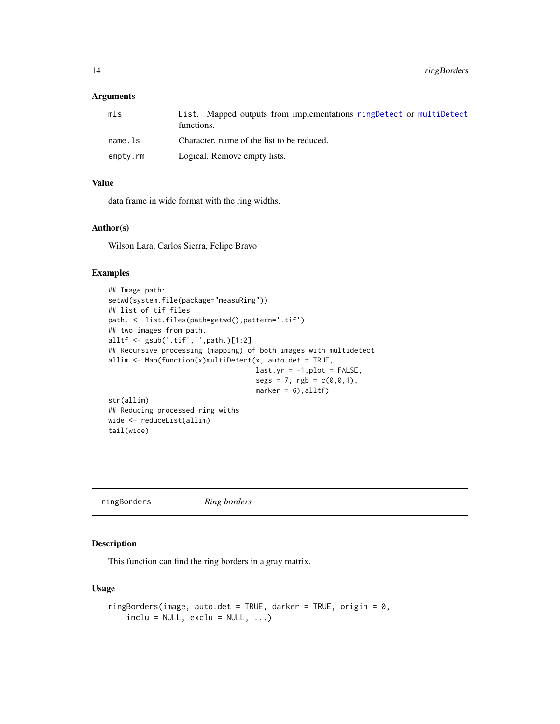#### <span id="page-13-0"></span>Arguments

| mls      | List. Mapped outputs from implementations ring Detect or multipletect<br>functions. |
|----------|-------------------------------------------------------------------------------------|
| name.ls  | Character, name of the list to be reduced.                                          |
| empty.rm | Logical. Remove empty lists.                                                        |

## Value

data frame in wide format with the ring widths.

## Author(s)

Wilson Lara, Carlos Sierra, Felipe Bravo

#### Examples

```
## Image path:
setwd(system.file(package="measuRing"))
## list of tif files
path. <- list.files(path=getwd(),pattern='.tif')
## two images from path.
alltf <- gsub('.tif','',path.)[1:2]
## Recursive processing (mapping) of both images with multidetect
allim \leq Map(function(x)multiDetect(x, auto.det = TRUE,
                                    last.yr = -1, plot = FALSE,segs = 7, rgb = c(0, 0, 1),marker = 6), alltf)
str(allim)
## Reducing processed ring withs
wide <- reduceList(allim)
tail(wide)
```
<span id="page-13-1"></span>ringBorders *Ring borders*

## Description

This function can find the ring borders in a gray matrix.

## Usage

```
ringBorders(image, auto.det = TRUE, darker = TRUE, origin = 0,
    include = NULL, exclu = NULL, \dots)
```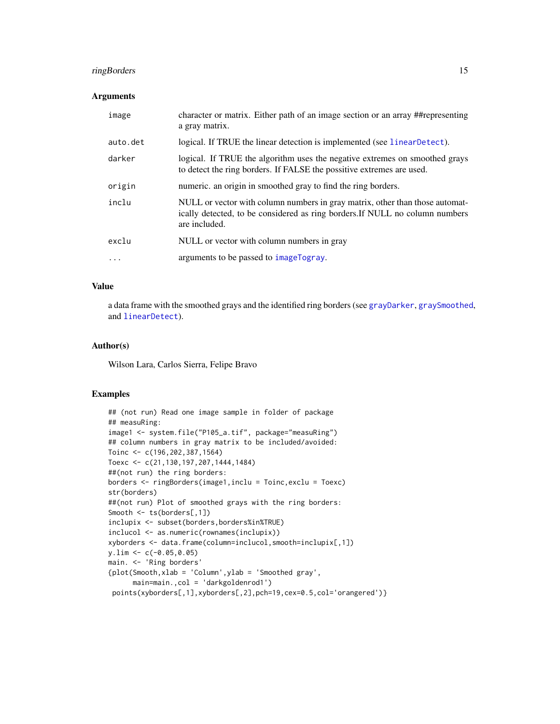## <span id="page-14-0"></span>ringBorders 15

#### **Arguments**

| image    | character or matrix. Either path of an image section or an array ##representing<br>a gray matrix.                                                                             |
|----------|-------------------------------------------------------------------------------------------------------------------------------------------------------------------------------|
| auto.det | logical. If TRUE the linear detection is implemented (see linearDetect).                                                                                                      |
| darker   | logical. If TRUE the algorithm uses the negative extremes on smoothed grays<br>to detect the ring borders. If FALSE the possitive extremes are used.                          |
| origin   | numeric. an origin in smoothed gray to find the ring borders.                                                                                                                 |
| inclu    | NULL or vector with column numbers in gray matrix, other than those automat-<br>ically detected, to be considered as ring borders. If NULL no column numbers<br>are included. |
| exclu    | NULL or vector with column numbers in gray                                                                                                                                    |
| .        | arguments to be passed to imageTogray.                                                                                                                                        |

## Value

a data frame with the smoothed grays and the identified ring borders (see [grayDarker](#page-5-1), [graySmoothed](#page-6-1), and [linearDetect](#page-9-1)).

## Author(s)

Wilson Lara, Carlos Sierra, Felipe Bravo

```
## (not run) Read one image sample in folder of package
## measuRing:
image1 <- system.file("P105_a.tif", package="measuRing")
## column numbers in gray matrix to be included/avoided:
Toinc <- c(196,202,387,1564)
Toexc <- c(21,130,197,207,1444,1484)
##(not run) the ring borders:
borders <- ringBorders(image1,inclu = Toinc,exclu = Toexc)
str(borders)
##(not run) Plot of smoothed grays with the ring borders:
Smooth <- ts(borders[,1])
inclupix <- subset(borders,borders%in%TRUE)
inclucol <- as.numeric(rownames(inclupix))
xyborders <- data.frame(column=inclucol,smooth=inclupix[,1])
y.lim <- c(-0.05,0.05)
main. <- 'Ring borders'
{plot(Smooth,xlab = 'Column',ylab = 'Smoothed gray',
      main=main.,col = 'darkgoldenrod1')
 points(xyborders[,1],xyborders[,2],pch=19,cex=0.5,col='orangered')}
```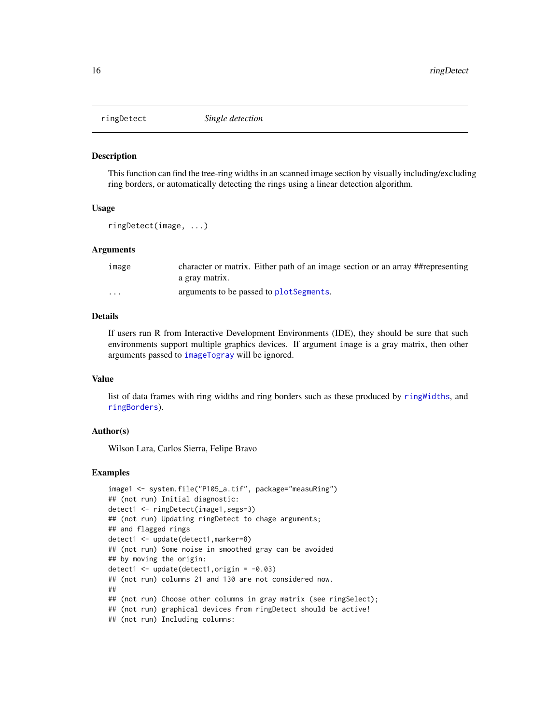<span id="page-15-1"></span><span id="page-15-0"></span>

#### Description

This function can find the tree-ring widths in an scanned image section by visually including/excluding ring borders, or automatically detecting the rings using a linear detection algorithm.

## Usage

ringDetect(image, ...)

## **Arguments**

| image    | character or matrix. Either path of an image section or an array ##representing<br>a gray matrix. |
|----------|---------------------------------------------------------------------------------------------------|
| $\cdots$ | arguments to be passed to plot Segments.                                                          |

## Details

If users run R from Interactive Development Environments (IDE), they should be sure that such environments support multiple graphics devices. If argument image is a gray matrix, then other arguments passed to [imageTogray](#page-7-1) will be ignored.

#### Value

list of data frames with ring widths and ring borders such as these produced by [ringWidths](#page-17-1), and [ringBorders](#page-13-1)).

## Author(s)

Wilson Lara, Carlos Sierra, Felipe Bravo

```
image1 <- system.file("P105_a.tif", package="measuRing")
## (not run) Initial diagnostic:
detect1 <- ringDetect(image1,segs=3)
## (not run) Updating ringDetect to chage arguments;
## and flagged rings
detect1 <- update(detect1,marker=8)
## (not run) Some noise in smoothed gray can be avoided
## by moving the origin:
detect1 <- update(detect1,origin = -0.03)
## (not run) columns 21 and 130 are not considered now.
##
## (not run) Choose other columns in gray matrix (see ringSelect);
## (not run) graphical devices from ringDetect should be active!
## (not run) Including columns:
```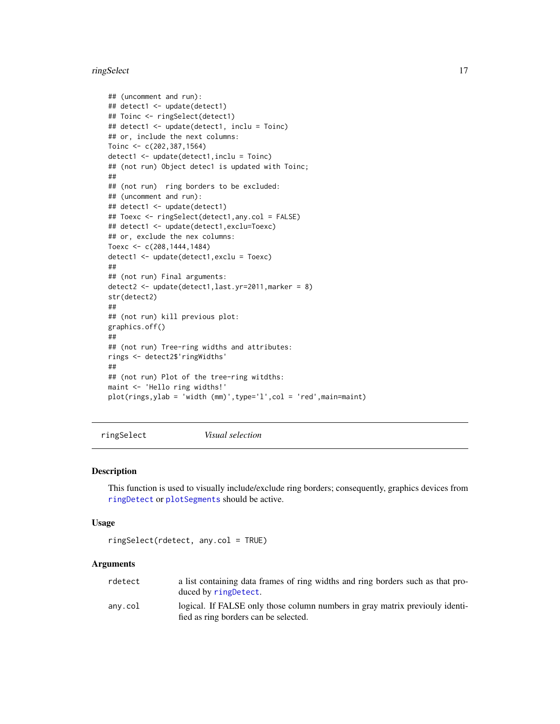#### <span id="page-16-0"></span>ringSelect 17

```
## (uncomment and run):
## detect1 <- update(detect1)
## Toinc <- ringSelect(detect1)
## detect1 <- update(detect1, inclu = Toinc)
## or, include the next columns:
Toinc <- c(202,387,1564)
detect1 <- update(detect1,inclu = Toinc)
## (not run) Object detec1 is updated with Toinc;
##
## (not run) ring borders to be excluded:
## (uncomment and run):
## detect1 <- update(detect1)
## Toexc <- ringSelect(detect1,any.col = FALSE)
## detect1 <- update(detect1,exclu=Toexc)
## or, exclude the nex columns:
Toexc <- c(208,1444,1484)
detect1 <- update(detect1,exclu = Toexc)
##
## (not run) Final arguments:
detect2 <- update(detect1,last.yr=2011,marker = 8)
str(detect2)
##
## (not run) kill previous plot:
graphics.off()
##
## (not run) Tree-ring widths and attributes:
rings <- detect2$'ringWidths'
##
## (not run) Plot of the tree-ring witdths:
maint <- 'Hello ring widths!'
plot(rings,ylab = 'width (mm)',type='l',col = 'red',main=maint)
```
ringSelect *Visual selection*

#### Description

This function is used to visually include/exclude ring borders; consequently, graphics devices from [ringDetect](#page-15-1) or [plotSegments](#page-11-1) should be active.

#### Usage

ringSelect(rdetect, any.col = TRUE)

#### Arguments

| rdetect | a list containing data frames of ring widths and ring borders such as that pro-<br>duced by ring Detect.              |
|---------|-----------------------------------------------------------------------------------------------------------------------|
| anv.col | logical. If FALSE only those column numbers in gray matrix previouly identi-<br>fied as ring borders can be selected. |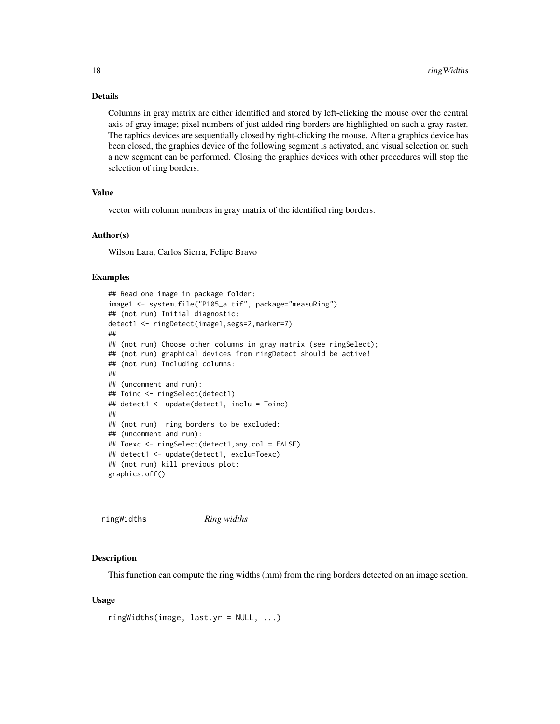#### Details

Columns in gray matrix are either identified and stored by left-clicking the mouse over the central axis of gray image; pixel numbers of just added ring borders are highlighted on such a gray raster. The raphics devices are sequentially closed by right-clicking the mouse. After a graphics device has been closed, the graphics device of the following segment is activated, and visual selection on such a new segment can be performed. Closing the graphics devices with other procedures will stop the selection of ring borders.

#### Value

vector with column numbers in gray matrix of the identified ring borders.

#### Author(s)

Wilson Lara, Carlos Sierra, Felipe Bravo

## Examples

```
## Read one image in package folder:
image1 <- system.file("P105_a.tif", package="measuRing")
## (not run) Initial diagnostic:
detect1 <- ringDetect(image1,segs=2,marker=7)
##
## (not run) Choose other columns in gray matrix (see ringSelect);
## (not run) graphical devices from ringDetect should be active!
## (not run) Including columns:
##
## (uncomment and run):
## Toinc <- ringSelect(detect1)
## detect1 <- update(detect1, inclu = Toinc)
##
## (not run) ring borders to be excluded:
## (uncomment and run):
## Toexc <- ringSelect(detect1,any.col = FALSE)
## detect1 <- update(detect1, exclu=Toexc)
## (not run) kill previous plot:
graphics.off()
```

```
ringWidths Ring widths
```
#### Description

This function can compute the ring widths (mm) from the ring borders detected on an image section.

#### Usage

```
ringWidths(image, last.yr = NULL, ...)
```
<span id="page-17-0"></span>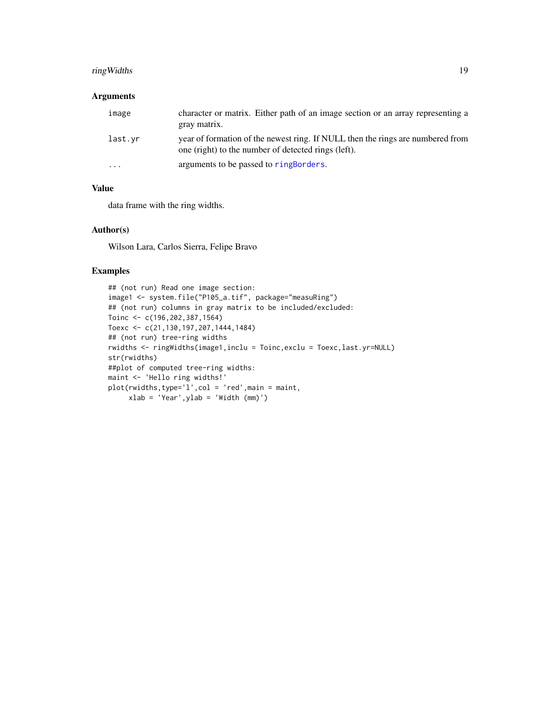## <span id="page-18-0"></span>ringWidths 19

## Arguments

| image                   | character or matrix. Either path of an image section or an array representing a<br>gray matrix.                                       |
|-------------------------|---------------------------------------------------------------------------------------------------------------------------------------|
| last.vr                 | year of formation of the newest ring. If NULL then the rings are numbered from<br>one (right) to the number of detected rings (left). |
| $\cdot$ $\cdot$ $\cdot$ | arguments to be passed to ringBorders.                                                                                                |

## Value

data frame with the ring widths.

### Author(s)

Wilson Lara, Carlos Sierra, Felipe Bravo

```
## (not run) Read one image section:
image1 <- system.file("P105_a.tif", package="measuRing")
## (not run) columns in gray matrix to be included/excluded:
Toinc <- c(196,202,387,1564)
Toexc <- c(21,130,197,207,1444,1484)
## (not run) tree-ring widths
rwidths <- ringWidths(image1,inclu = Toinc,exclu = Toexc,last.yr=NULL)
str(rwidths)
##plot of computed tree-ring widths:
maint <- 'Hello ring widths!'
plot(rwidths,type='l',col = 'red',main = maint,
    xlab = 'Year',ylab = 'Width (mm)')
```